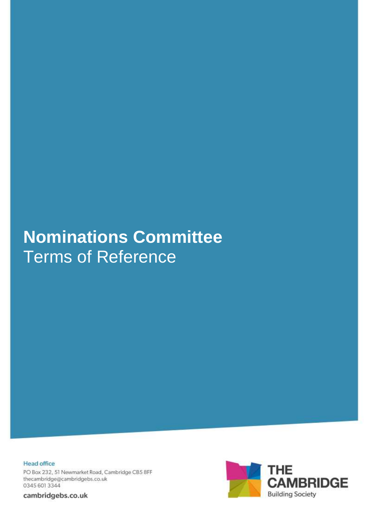# **Nominations Committee** Terms of Reference

**Head office** PO Box 232, 51 Newmarket Road, Cambridge CB5 8FF thecambridge@cambridgebs.co.uk 0345 601 3344

cambridgebs.co.uk

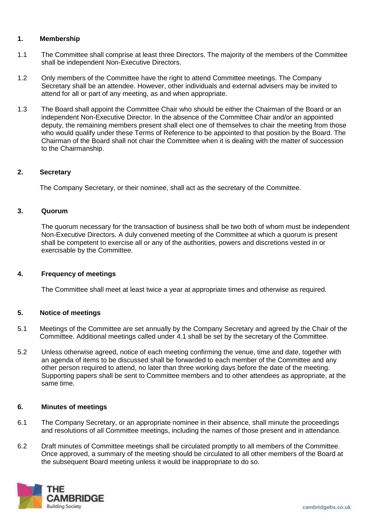# **1. Membership**

- 1.1 The Committee shall comprise at least three Directors. The majority of the members of the Committee shall be independent Non-Executive Directors.
- 1.2 Only members of the Committee have the right to attend Committee meetings. The Company Secretary shall be an attendee. However, other individuals and external advisers may be invited to attend for all or part of any meeting, as and when appropriate.
- 1.3 The Board shall appoint the Committee Chair who should be either the Chairman of the Board or an independent Non-Executive Director. In the absence of the Committee Chair and/or an appointed deputy, the remaining members present shall elect one of themselves to chair the meeting from those who would qualify under these Terms of Reference to be appointed to that position by the Board. The Chairman of the Board shall not chair the Committee when it is dealing with the matter of succession to the Chairmanship.

## **2. Secretary**

The Company Secretary, or their nominee, shall act as the secretary of the Committee.

## **3. Quorum**

The quorum necessary for the transaction of business shall be two both of whom must be independent Non-Executive Directors. A duly convened meeting of the Committee at which a quorum is present shall be competent to exercise all or any of the authorities, powers and discretions vested in or exercisable by the Committee.

## **4. Frequency of meetings**

The Committee shall meet at least twice a year at appropriate times and otherwise as required.

## **5. Notice of meetings**

- 5.1 Meetings of the Committee are set annually by the Company Secretary and agreed by the Chair of the Committee. Additional meetings called under 4.1 shall be set by the secretary of the Committee.
- 5.2 Unless otherwise agreed, notice of each meeting confirming the venue, time and date, together with an agenda of items to be discussed shall be forwarded to each member of the Committee and any other person required to attend, no later than three working days before the date of the meeting. Supporting papers shall be sent to Committee members and to other attendees as appropriate, at the same time.

#### **6. Minutes of meetings**

- 6.1 The Company Secretary, or an appropriate nominee in their absence, shall minute the proceedings and resolutions of all Committee meetings, including the names of those present and in attendance.
- 6.2 Draft minutes of Committee meetings shall be circulated promptly to all members of the Committee. Once approved, a summary of the meeting should be circulated to all other members of the Board at the subsequent Board meeting unless it would be inappropriate to do so.

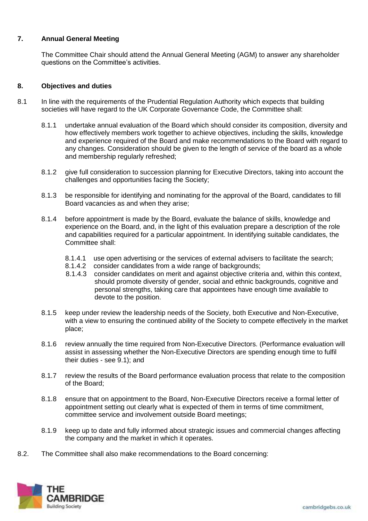## **7. Annual General Meeting**

The Committee Chair should attend the Annual General Meeting (AGM) to answer any shareholder questions on the Committee's activities.

## **8. Objectives and duties**

- 8.1 In line with the requirements of the Prudential Regulation Authority which expects that building societies will have regard to the UK Corporate Governance Code, the Committee shall:
	- 8.1.1 undertake annual evaluation of the Board which should consider its composition, diversity and how effectively members work together to achieve objectives, including the skills, knowledge and experience required of the Board and make recommendations to the Board with regard to any changes. Consideration should be given to the length of service of the board as a whole and membership regularly refreshed;
	- 8.1.2 give full consideration to succession planning for Executive Directors, taking into account the challenges and opportunities facing the Society;
	- 8.1.3 be responsible for identifying and nominating for the approval of the Board, candidates to fill Board vacancies as and when they arise;
	- 8.1.4 before appointment is made by the Board, evaluate the balance of skills, knowledge and experience on the Board, and, in the light of this evaluation prepare a description of the role and capabilities required for a particular appointment. In identifying suitable candidates, the Committee shall:
		- 8.1.4.1 use open advertising or the services of external advisers to facilitate the search;
		- 8.1.4.2 consider candidates from a wide range of backgrounds;
		- 8.1.4.3 consider candidates on merit and against objective criteria and, within this context, should promote diversity of gender, social and ethnic backgrounds, cognitive and personal strengths, taking care that appointees have enough time available to devote to the position.
	- 8.1.5 keep under review the leadership needs of the Society, both Executive and Non-Executive, with a view to ensuring the continued ability of the Society to compete effectively in the market place;
	- 8.1.6 review annually the time required from Non-Executive Directors. (Performance evaluation will assist in assessing whether the Non-Executive Directors are spending enough time to fulfil their duties - see 9.1); and
	- 8.1.7 review the results of the Board performance evaluation process that relate to the composition of the Board;
	- 8.1.8 ensure that on appointment to the Board, Non-Executive Directors receive a formal letter of appointment setting out clearly what is expected of them in terms of time commitment, committee service and involvement outside Board meetings;
	- 8.1.9 keep up to date and fully informed about strategic issues and commercial changes affecting the company and the market in which it operates.
- 8.2. The Committee shall also make recommendations to the Board concerning:

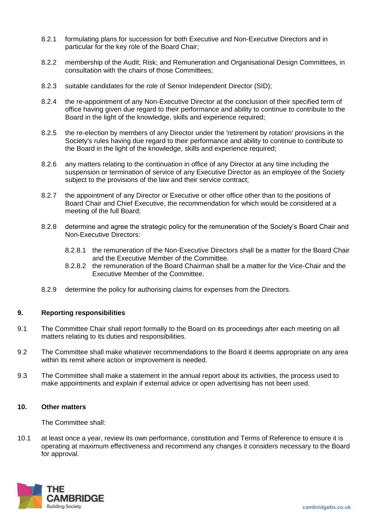- 8.2.1 formulating plans for succession for both Executive and Non-Executive Directors and in particular for the key role of the Board Chair;
- 8.2.2 membership of the Audit; Risk; and Remuneration and Organisational Design Committees, in consultation with the chairs of those Committees;
- 8.2.3 suitable candidates for the role of Senior Independent Director (SID);
- 8.2.4 the re-appointment of any Non-Executive Director at the conclusion of their specified term of office having given due regard to their performance and ability to continue to contribute to the Board in the light of the knowledge, skills and experience required;
- 8.2.5 the re-election by members of any Director under the 'retirement by rotation' provisions in the Society's rules having due regard to their performance and ability to continue to contribute to the Board in the light of the knowledge, skills and experience required;
- 8.2.6 any matters relating to the continuation in office of any Director at any time including the suspension or termination of service of any Executive Director as an employee of the Society subject to the provisions of the law and their service contract;
- 8.2.7 the appointment of any Director or Executive or other office other than to the positions of Board Chair and Chief Executive, the recommendation for which would be considered at a meeting of the full Board;
- 8.2.8 determine and agree the strategic policy for the remuneration of the Society's Board Chair and Non-Executive Directors:
	- 8.2.8.1 the remuneration of the Non-Executive Directors shall be a matter for the Board Chair and the Executive Member of the Committee.
	- 8.2.8.2 the remuneration of the Board Chairman shall be a matter for the Vice-Chair and the Executive Member of the Committee.
- 8.2.9 determine the policy for authorising claims for expenses from the Directors.

#### **9. Reporting responsibilities**

- 9.1 The Committee Chair shall report formally to the Board on its proceedings after each meeting on all matters relating to its duties and responsibilities.
- 9.2 The Committee shall make whatever recommendations to the Board it deems appropriate on any area within its remit where action or improvement is needed.
- 9.3 The Committee shall make a statement in the annual report about its activities, the process used to make appointments and explain if external advice or open advertising has not been used.

#### **10. Other matters**

The Committee shall:

10.1 at least once a year, review its own performance, constitution and Terms of Reference to ensure it is operating at maximum effectiveness and recommend any changes it considers necessary to the Board for approval.

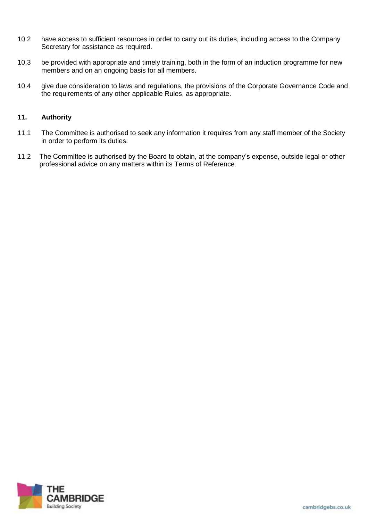- 10.2 have access to sufficient resources in order to carry out its duties, including access to the Company Secretary for assistance as required.
- 10.3 be provided with appropriate and timely training, both in the form of an induction programme for new members and on an ongoing basis for all members.
- 10.4 give due consideration to laws and regulations, the provisions of the Corporate Governance Code and the requirements of any other applicable Rules, as appropriate.

# **11. Authority**

- 11.1 The Committee is authorised to seek any information it requires from any staff member of the Society in order to perform its duties.
- 11.2 The Committee is authorised by the Board to obtain, at the company's expense, outside legal or other professional advice on any matters within its Terms of Reference.